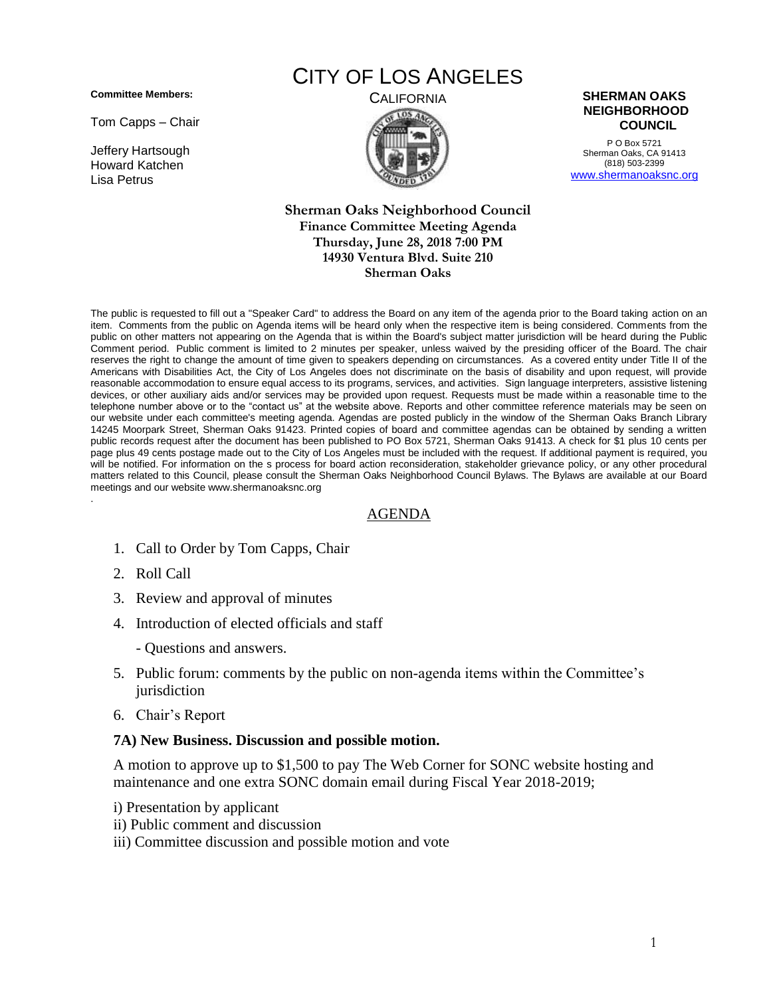**Committee Members:**

Tom Capps – Chair

Jeffery Hartsough Howard Katchen Lisa Petrus

# CITY OF LOS ANGELES





P O Box 5721 Sherman Oaks, CA 91413 (818) 503-2399 [www.shermanoaksnc.org](http://www.shermanoaksnc.org/)

#### **Sherman Oaks Neighborhood Council Finance Committee Meeting Agenda Thursday, June 28, 2018 7:00 PM 14930 Ventura Blvd. Suite 210 Sherman Oaks**

The public is requested to fill out a "Speaker Card" to address the Board on any item of the agenda prior to the Board taking action on an item. Comments from the public on Agenda items will be heard only when the respective item is being considered. Comments from the public on other matters not appearing on the Agenda that is within the Board's subject matter jurisdiction will be heard during the Public Comment period. Public comment is limited to 2 minutes per speaker, unless waived by the presiding officer of the Board. The chair reserves the right to change the amount of time given to speakers depending on circumstances. As a covered entity under Title II of the Americans with Disabilities Act, the City of Los Angeles does not discriminate on the basis of disability and upon request, will provide reasonable accommodation to ensure equal access to its programs, services, and activities. Sign language interpreters, assistive listening devices, or other auxiliary aids and/or services may be provided upon request. Requests must be made within a reasonable time to the telephone number above or to the "contact us" at the website above. Reports and other committee reference materials may be seen on our website under each committee's meeting agenda. Agendas are posted publicly in the window of the Sherman Oaks Branch Library 14245 Moorpark Street, Sherman Oaks 91423. Printed copies of board and committee agendas can be obtained by sending a written public records request after the document has been published to PO Box 5721, Sherman Oaks 91413. A check for \$1 plus 10 cents per page plus 49 cents postage made out to the City of Los Angeles must be included with the request. If additional payment is required, you will be notified. For information on the s process for board action reconsideration, stakeholder grievance policy, or any other procedural matters related to this Council, please consult the Sherman Oaks Neighborhood Council Bylaws. The Bylaws are available at our Board meetings and our website www.shermanoaksnc.org .

### AGENDA

- 1. Call to Order by Tom Capps, Chair
- 2. Roll Call
- 3. Review and approval of minutes
- 4. Introduction of elected officials and staff
	- Questions and answers.
- 5. Public forum: comments by the public on non-agenda items within the Committee's jurisdiction
- 6. Chair's Report

#### **7A) New Business. Discussion and possible motion.**

A motion to approve up to \$1,500 to pay The Web Corner for SONC website hosting and maintenance and one extra SONC domain email during Fiscal Year 2018-2019;

- i) Presentation by applicant
- ii) Public comment and discussion
- iii) Committee discussion and possible motion and vote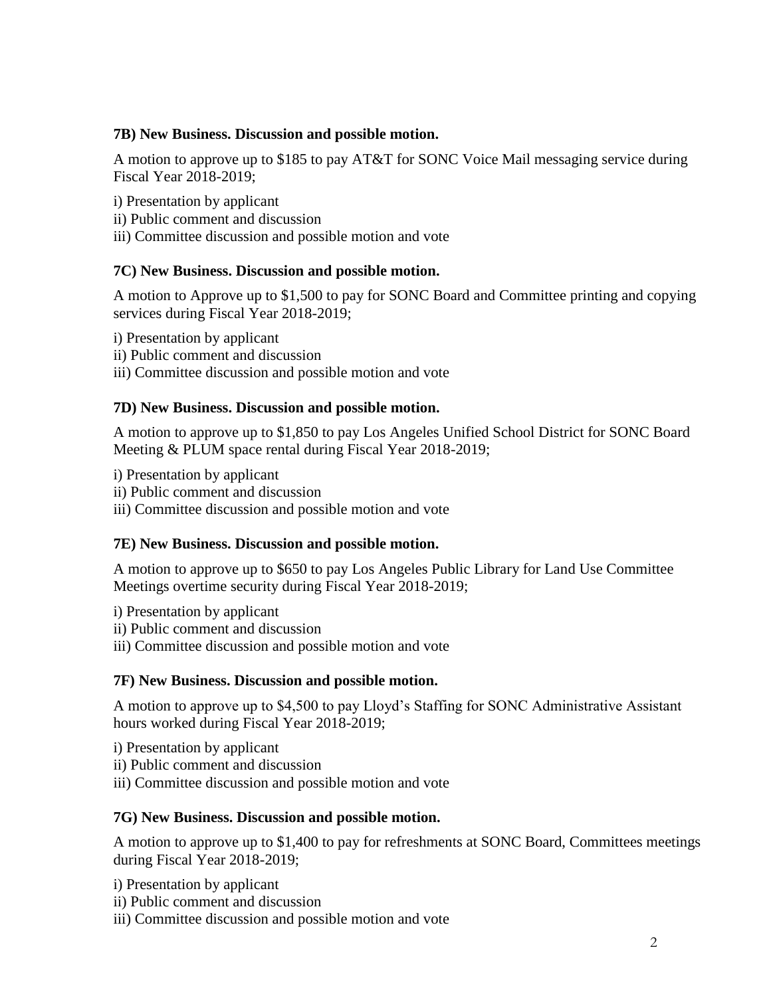# **7B) New Business. Discussion and possible motion.**

A motion to approve up to \$185 to pay AT&T for SONC Voice Mail messaging service during Fiscal Year 2018-2019;

- i) Presentation by applicant
- ii) Public comment and discussion
- iii) Committee discussion and possible motion and vote

# **7C) New Business. Discussion and possible motion.**

A motion to Approve up to \$1,500 to pay for SONC Board and Committee printing and copying services during Fiscal Year 2018-2019;

- i) Presentation by applicant
- ii) Public comment and discussion
- iii) Committee discussion and possible motion and vote

# **7D) New Business. Discussion and possible motion.**

A motion to approve up to \$1,850 to pay Los Angeles Unified School District for SONC Board Meeting & PLUM space rental during Fiscal Year 2018-2019;

- i) Presentation by applicant
- ii) Public comment and discussion
- iii) Committee discussion and possible motion and vote

### **7E) New Business. Discussion and possible motion.**

A motion to approve up to \$650 to pay Los Angeles Public Library for Land Use Committee Meetings overtime security during Fiscal Year 2018-2019;

- i) Presentation by applicant
- ii) Public comment and discussion
- iii) Committee discussion and possible motion and vote

# **7F) New Business. Discussion and possible motion.**

A motion to approve up to \$4,500 to pay Lloyd's Staffing for SONC Administrative Assistant hours worked during Fiscal Year 2018-2019;

- i) Presentation by applicant
- ii) Public comment and discussion
- iii) Committee discussion and possible motion and vote

# **7G) New Business. Discussion and possible motion.**

A motion to approve up to \$1,400 to pay for refreshments at SONC Board, Committees meetings during Fiscal Year 2018-2019;

- i) Presentation by applicant
- ii) Public comment and discussion
- iii) Committee discussion and possible motion and vote